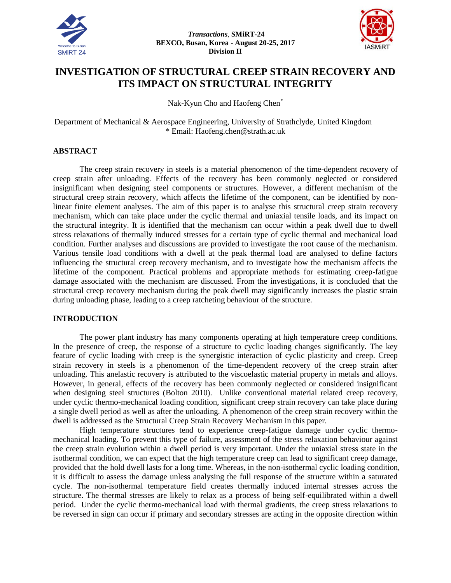



# **INVESTIGATION OF STRUCTURAL CREEP STRAIN RECOVERY AND ITS IMPACT ON STRUCTURAL INTEGRITY**

Nak-Kyun Cho and Haofeng Chen\*

Department of Mechanical & Aerospace Engineering, University of Strathclyde, United Kingdom \* Email: Haofeng.chen@strath.ac.uk

## **ABSTRACT**

The creep strain recovery in steels is a material phenomenon of the time-dependent recovery of creep strain after unloading. Effects of the recovery has been commonly neglected or considered insignificant when designing steel components or structures. However, a different mechanism of the structural creep strain recovery, which affects the lifetime of the component, can be identified by nonlinear finite element analyses. The aim of this paper is to analyse this structural creep strain recovery mechanism, which can take place under the cyclic thermal and uniaxial tensile loads, and its impact on the structural integrity. It is identified that the mechanism can occur within a peak dwell due to dwell stress relaxations of thermally induced stresses for a certain type of cyclic thermal and mechanical load condition. Further analyses and discussions are provided to investigate the root cause of the mechanism. Various tensile load conditions with a dwell at the peak thermal load are analysed to define factors influencing the structural creep recovery mechanism, and to investigate how the mechanism affects the lifetime of the component. Practical problems and appropriate methods for estimating creep-fatigue damage associated with the mechanism are discussed. From the investigations, it is concluded that the structural creep recovery mechanism during the peak dwell may significantly increases the plastic strain during unloading phase, leading to a creep ratcheting behaviour of the structure.

# **INTRODUCTION**

The power plant industry has many components operating at high temperature creep conditions. In the presence of creep, the response of a structure to cyclic loading changes significantly. The key feature of cyclic loading with creep is the synergistic interaction of cyclic plasticity and creep. Creep strain recovery in steels is a phenomenon of the time-dependent recovery of the creep strain after unloading. This anelastic recovery is attributed to the viscoelastic material property in metals and alloys. However, in general, effects of the recovery has been commonly neglected or considered insignificant when designing steel structures [\(Bolton 2010\)](#page-9-0). Unlike conventional material related creep recovery, under cyclic thermo-mechanical loading condition, significant creep strain recovery can take place during a single dwell period as well as after the unloading. A phenomenon of the creep strain recovery within the dwell is addressed as the Structural Creep Strain Recovery Mechanism in this paper.

High temperature structures tend to experience creep-fatigue damage under cyclic thermomechanical loading. To prevent this type of failure, assessment of the stress relaxation behaviour against the creep strain evolution within a dwell period is very important. Under the uniaxial stress state in the isothermal condition, we can expect that the high temperature creep can lead to significant creep damage, provided that the hold dwell lasts for a long time. Whereas, in the non-isothermal cyclic loading condition, it is difficult to assess the damage unless analysing the full response of the structure within a saturated cycle. The non-isothermal temperature field creates thermally induced internal stresses across the structure. The thermal stresses are likely to relax as a process of being self-equilibrated within a dwell period. Under the cyclic thermo-mechanical load with thermal gradients, the creep stress relaxations to be reversed in sign can occur if primary and secondary stresses are acting in the opposite direction within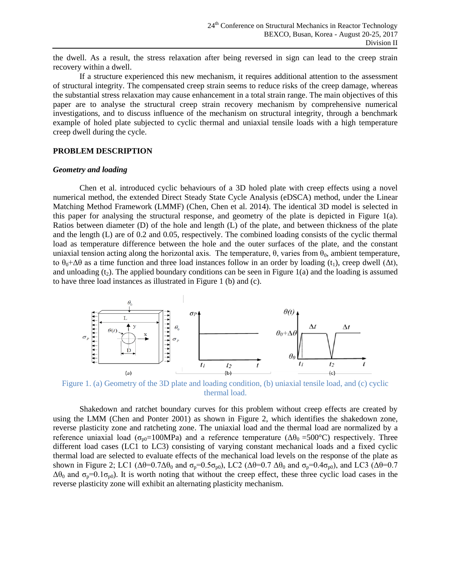the dwell. As a result, the stress relaxation after being reversed in sign can lead to the creep strain recovery within a dwell.

If a structure experienced this new mechanism, it requires additional attention to the assessment of structural integrity. The compensated creep strain seems to reduce risks of the creep damage, whereas the substantial stress relaxation may cause enhancement in a total strain range. The main objectives of this paper are to analyse the structural creep strain recovery mechanism by comprehensive numerical investigations, and to discuss influence of the mechanism on structural integrity, through a benchmark example of holed plate subjected to cyclic thermal and uniaxial tensile loads with a high temperature creep dwell during the cycle.

### **PROBLEM DESCRIPTION**

#### *Geometry and loading*

Chen et al. introduced cyclic behaviours of a 3D holed plate with creep effects using a novel numerical method, the extended Direct Steady State Cycle Analysis (eDSCA) method, under the Linear Matching Method Framework (LMMF) [\(Chen, Chen et al. 2014\)](#page-9-1). The identical 3D model is selected in this paper for analysing the structural response, and geometry of the plate is depicted in [Figure 1\(](#page-1-0)a). Ratios between diameter (D) of the hole and length (L) of the plate, and between thickness of the plate and the length (L) are of 0.2 and 0.05, respectively. The combined loading consists of the cyclic thermal load as temperature difference between the hole and the outer surfaces of the plate, and the constant uniaxial tension acting along the horizontal axis. The temperature,  $θ$ , varies from  $θ_0$ , ambient temperature, to  $\theta_0 + \Delta\theta$  as a time function and three load instances follow in an order by loading (t<sub>1</sub>), creep dwell ( $\Delta t$ ), and unloading  $(t_2)$ . The applied boundary conditions can be seen i[n Figure 1\(](#page-1-0)a) and the loading is assumed to have three load instances as illustrated in [Figure 1](#page-1-0) (b) and (c).



<span id="page-1-0"></span>Figure 1. (a) Geometry of the 3D plate and loading condition, (b) uniaxial tensile load, and (c) cyclic thermal load.

Shakedown and ratchet boundary curves for this problem without creep effects are created by using the LMM [\(Chen and Ponter 2001\)](#page-9-2) as shown in [Figure 2,](#page-2-0) which identifies the shakedown zone, reverse plasticity zone and ratcheting zone. The uniaxial load and the thermal load are normalized by a reference uniaxial load ( $\sigma_{p0}=100MPa$ ) and a reference temperature ( $\Delta\theta_0 = 500^{\circ}$ C) respectively. Three different load cases (LC1 to LC3) consisting of varying constant mechanical loads and a fixed cyclic thermal load are selected to evaluate effects of the mechanical load levels on the response of the plate as shown in [Figure 2;](#page-2-0) LC1 ( $\Delta\theta$ =0.7 $\Delta\theta_0$  and  $\sigma_p$ =0.5 $\sigma_{p0}$ ), LC2 ( $\Delta\theta$ =0.7  $\Delta\theta_0$  and  $\sigma_p$ =0.4 $\sigma_{p0}$ ), and LC3 ( $\Delta\theta$ =0.7  $\Delta\theta_0$  and  $\sigma_p=0.1\sigma_{p0}$ ). It is worth noting that without the creep effect, these three cyclic load cases in the reverse plasticity zone will exhibit an alternating plasticity mechanism.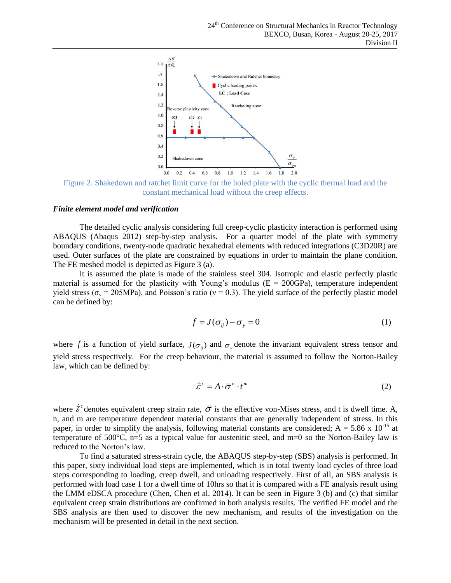

<span id="page-2-0"></span>Figure 2. Shakedown and ratchet limit curve for the holed plate with the cyclic thermal load and the constant mechanical load without the creep effects.

#### *Finite element model and verification*

The detailed cyclic analysis considering full creep-cyclic plasticity interaction is performed using ABAQUS [\(Abaqus 2012\)](#page-9-3) step-by-step analysis. For a quarter model of the plate with symmetry boundary conditions, twenty-node quadratic hexahedral elements with reduced integrations (C3D20R) are used. Outer surfaces of the plate are constrained by equations in order to maintain the plane condition. The FE meshed model is depicted as [Figure 3](#page-3-0) (a).

It is assumed the plate is made of the stainless steel 304. Isotropic and elastic perfectly plastic material is assumed for the plasticity with Young's modulus ( $E = 200GPa$ ), temperature independent yield stress ( $\sigma_v$  = 205MPa), and Poisson's ratio ( $v = 0.3$ ). The yield surface of the perfectly plastic model can be defined by:

$$
f = J(\sigma_{ij}) - \sigma_{y} = 0 \tag{1}
$$

where f is a function of yield surface,  $J(\sigma_{ij})$  and  $\sigma_{y}$  denote the invariant equivalent stress tensor and yield stress respectively. For the creep behaviour, the material is assumed to follow the Norton-Bailey law, which can be defined by:

$$
\dot{\overline{\mathcal{E}}}^c = A \cdot \overline{\sigma}^n \cdot t^m \tag{2}
$$

where  $\dot{\bar{\varepsilon}}^c$  denotes equivalent creep strain rate,  $\bar{\sigma}$  is the effective von-Mises stress, and t is dwell time. A, n, and m are temperature dependent material constants that are generally independent of stress. In this paper, in order to simplify the analysis, following material constants are considered;  $A = 5.86 \times 10^{-15}$  at temperature of 500 $^{\circ}$ C, n=5 as a typical value for austenitic steel, and m=0 so the Norton-Bailey law is reduced to the Norton's law.

To find a saturated stress-strain cycle, the ABAQUS step-by-step (SBS) analysis is performed. In this paper, sixty individual load steps are implemented, which is in total twenty load cycles of three load steps corresponding to loading, creep dwell, and unloading respectively. First of all, an SBS analysis is performed with load case 1 for a dwell time of 10hrs so that it is compared with a FE analysis result using the LMM eDSCA procedure [\(Chen, Chen et al. 2014\)](#page-9-1). It can be seen in [Figure 3](#page-3-0) (b) and (c) that similar equivalent creep strain distributions are confirmed in both analysis results. The verified FE model and the SBS analysis are then used to discover the new mechanism, and results of the investigation on the mechanism will be presented in detail in the next section.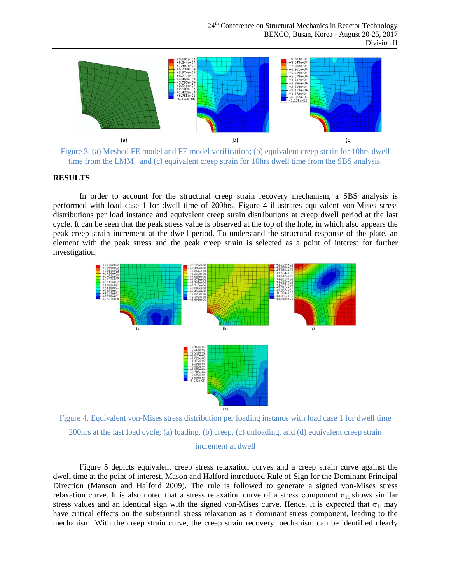

<span id="page-3-0"></span>Figure 3. (a) Meshed FE model and FE model verification; (b) equivalent creep strain for 10hrs dwell time from the LMM and (c) equivalent creep strain for 10hrs dwell time from the SBS analysis.

### **RESULTS**

In order to account for the structural creep strain recovery mechanism, a SBS analysis is performed with load case 1 for dwell time of 200hrs. [Figure 4](#page-3-1) illustrates equivalent von-Mises stress distributions per load instance and equivalent creep strain distributions at creep dwell period at the last cycle. It can be seen that the peak stress value is observed at the top of the hole, in which also appears the peak creep strain increment at the dwell period. To understand the structural response of the plate, an element with the peak stress and the peak creep strain is selected as a point of interest for further investigation.



<span id="page-3-1"></span>Figure 4. Equivalent von-Mises stress distribution per loading instance with load case 1 for dwell time 200hrs at the last load cycle; (a) loading, (b) creep, (c) unloading, and (d) equivalent creep strain increment at dwell

[Figure 5](#page-4-0) depicts equivalent creep stress relaxation curves and a creep strain curve against the dwell time at the point of interest. Mason and Halford introduced Rule of Sign for the Dominant Principal Direction [\(Manson and Halford 2009\)](#page-9-4). The rule is followed to generate a signed von-Mises stress relaxation curve. It is also noted that a stress relaxation curve of a stress component  $\sigma_{11}$  shows similar stress values and an identical sign with the signed von-Mises curve. Hence, it is expected that  $\sigma_{11}$  may have critical effects on the substantial stress relaxation as a dominant stress component, leading to the mechanism. With the creep strain curve, the creep strain recovery mechanism can be identified clearly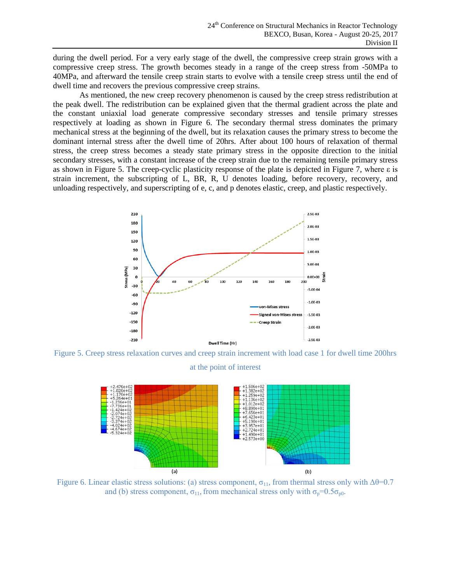during the dwell period. For a very early stage of the dwell, the compressive creep strain grows with a compressive creep stress. The growth becomes steady in a range of the creep stress from -50MPa to 40MPa, and afterward the tensile creep strain starts to evolve with a tensile creep stress until the end of dwell time and recovers the previous compressive creep strains.

As mentioned, the new creep recovery phenomenon is caused by the creep stress redistribution at the peak dwell. The redistribution can be explained given that the thermal gradient across the plate and the constant uniaxial load generate compressive secondary stresses and tensile primary stresses respectively at loading as shown in [Figure 6.](#page-4-1) The secondary thermal stress dominates the primary mechanical stress at the beginning of the dwell, but its relaxation causes the primary stress to become the dominant internal stress after the dwell time of 20hrs. After about 100 hours of relaxation of thermal stress, the creep stress becomes a steady state primary stress in the opposite direction to the initial secondary stresses, with a constant increase of the creep strain due to the remaining tensile primary stress as shown in Figure 5. The creep-cyclic plasticity response of the plate is depicted in [Figure 7,](#page-5-0) where ε is strain increment, the subscripting of L, BR, R, U denotes loading, before recovery, recovery, and unloading respectively, and superscripting of e, c, and p denotes elastic, creep, and plastic respectively.



<span id="page-4-0"></span>Figure 5. Creep stress relaxation curves and creep strain increment with load case 1 for dwell time 200hrs at the point of interest



<span id="page-4-1"></span>Figure 6. Linear elastic stress solutions: (a) stress component,  $\sigma_{11}$ , from thermal stress only with Δθ=0.7 and (b) stress component,  $\sigma_{11}$ , from mechanical stress only with  $\sigma_p=0.5\sigma_{p0}$ .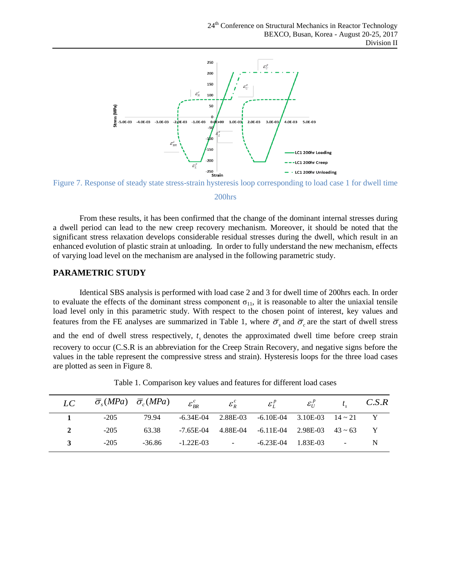

<span id="page-5-0"></span>

#### 200hrs

From these results, it has been confirmed that the change of the dominant internal stresses during a dwell period can lead to the new creep recovery mechanism. Moreover, it should be noted that the significant stress relaxation develops considerable residual stresses during the dwell, which result in an enhanced evolution of plastic strain at unloading. In order to fully understand the new mechanism, effects of varying load level on the mechanism are analysed in the following parametric study.

# **PARAMETRIC STUDY**

Identical SBS analysis is performed with load case 2 and 3 for dwell time of 200hrs each. In order to evaluate the effects of the dominant stress component  $\sigma_{11}$ , it is reasonable to alter the uniaxial tensile load level only in this parametric study. With respect to the chosen point of interest, key values and features from the FE analyses are summarized in [Table 1,](#page-5-1) where  $\overline{\sigma}_s$  and  $\overline{\sigma}_c$  are the start of dwell stress and the end of dwell stress respectively,  $t<sub>s</sub>$  denotes the approximated dwell time before creep strain recovery to occur (C.S.R is an abbreviation for the Creep Strain Recovery, and negative signs before the values in the table represent the compressive stress and strain). Hysteresis loops for the three load cases are plotted as seen in [Figure 8.](#page-6-0)

<span id="page-5-1"></span>

| LC | $\overline{\sigma}_s(MPa)$ $\overline{\sigma}_c(MPa)$ $\varepsilon_{BR}^c$ |        |                 | $\mathcal{E}_R^c$ | $\mathcal{E}_I^P$                                          | $\mathcal{E}_{II}^P$       | $t_c$ $C.S.R$            |   |
|----|----------------------------------------------------------------------------|--------|-----------------|-------------------|------------------------------------------------------------|----------------------------|--------------------------|---|
|    | $-205$                                                                     | 79.94  |                 |                   | $-6.34E-04$ $2.88E-03$ $-6.10E-04$ $3.10E-03$ $14 \sim 21$ |                            |                          |   |
| 2  | $-205$                                                                     | 63.38  |                 |                   | $-7.65E-04$ $4.88E-04$ $-6.11E-04$ $2.98E-03$ $43 \sim 63$ |                            |                          |   |
|    | $-205$                                                                     | -36.86 | $-1.22E-03$ $-$ |                   |                                                            | $-6.23E - 04$ $1.83E - 03$ | <b>Contract Contract</b> | N |

Table 1. Comparison key values and features for different load cases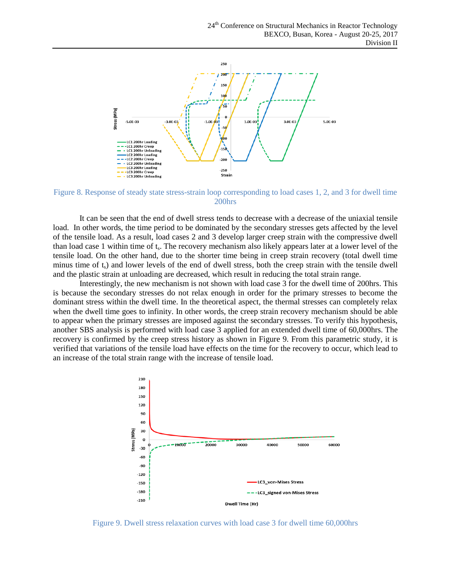

<span id="page-6-0"></span>Figure 8. Response of steady state stress-strain loop corresponding to load cases 1, 2, and 3 for dwell time 200hrs

It can be seen that the end of dwell stress tends to decrease with a decrease of the uniaxial tensile load. In other words, the time period to be dominated by the secondary stresses gets affected by the level of the tensile load. As a result, load cases 2 and 3 develop larger creep strain with the compressive dwell than load case 1 within time of t<sub>s</sub>. The recovery mechanism also likely appears later at a lower level of the tensile load. On the other hand, due to the shorter time being in creep strain recovery (total dwell time minus time of  $t<sub>s</sub>$ ) and lower levels of the end of dwell stress, both the creep strain with the tensile dwell and the plastic strain at unloading are decreased, which result in reducing the total strain range.

Interestingly, the new mechanism is not shown with load case 3 for the dwell time of 200hrs. This is because the secondary stresses do not relax enough in order for the primary stresses to become the dominant stress within the dwell time. In the theoretical aspect, the thermal stresses can completely relax when the dwell time goes to infinity. In other words, the creep strain recovery mechanism should be able to appear when the primary stresses are imposed against the secondary stresses. To verify this hypothesis, another SBS analysis is performed with load case 3 applied for an extended dwell time of 60,000hrs. The recovery is confirmed by the creep stress history as shown in [Figure 9.](#page-6-1) From this parametric study, it is verified that variations of the tensile load have effects on the time for the recovery to occur, which lead to an increase of the total strain range with the increase of tensile load.



<span id="page-6-1"></span>Figure 9. Dwell stress relaxation curves with load case 3 for dwell time 60,000hrs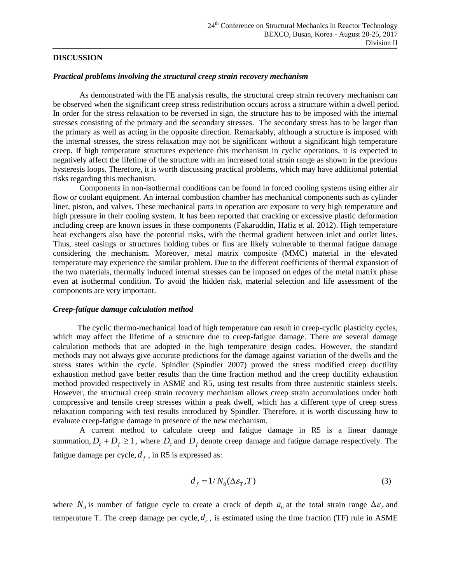#### **DISCUSSION**

### *Practical problems involving the structural creep strain recovery mechanism*

As demonstrated with the FE analysis results, the structural creep strain recovery mechanism can be observed when the significant creep stress redistribution occurs across a structure within a dwell period. In order for the stress relaxation to be reversed in sign, the structure has to be imposed with the internal stresses consisting of the primary and the secondary stresses. The secondary stress has to be larger than the primary as well as acting in the opposite direction. Remarkably, although a structure is imposed with the internal stresses, the stress relaxation may not be significant without a significant high temperature creep. If high temperature structures experience this mechanism in cyclic operations, it is expected to negatively affect the lifetime of the structure with an increased total strain range as shown in the previous hysteresis loops. Therefore, it is worth discussing practical problems, which may have additional potential risks regarding this mechanism.

Components in non-isothermal conditions can be found in forced cooling systems using either air flow or coolant equipment. An internal combustion chamber has mechanical components such as cylinder liner, piston, and valves. These mechanical parts in operation are exposure to very high temperature and high pressure in their cooling system. It has been reported that cracking or excessive plastic deformation including creep are known issues in these components [\(Fakaruddin, Hafiz et al. 2012\)](#page-9-5). High temperature heat exchangers also have the potential risks, with the thermal gradient between inlet and outlet lines. Thus, steel casings or structures holding tubes or fins are likely vulnerable to thermal fatigue damage considering the mechanism. Moreover, metal matrix composite (MMC) material in the elevated temperature may experience the similar problem. Due to the different coefficients of thermal expansion of the two materials, thermally induced internal stresses can be imposed on edges of the metal matrix phase even at isothermal condition. To avoid the hidden risk, material selection and life assessment of the components are very important.

#### *Creep-fatigue damage calculation method*

The cyclic thermo-mechanical load of high temperature can result in creep-cyclic plasticity cycles, which may affect the lifetime of a structure due to creep-fatigue damage. There are several damage calculation methods that are adopted in the high temperature design codes. However, the standard methods may not always give accurate predictions for the damage against variation of the dwells and the stress states within the cycle. Spindler [\(Spindler 2007\)](#page-9-6) proved the stress modified creep ductility exhaustion method gave better results than the time fraction method and the creep ductility exhaustion method provided respectively in ASME and R5, using test results from three austenitic stainless steels. However, the structural creep strain recovery mechanism allows creep strain accumulations under both compressive and tensile creep stresses within a peak dwell, which has a different type of creep stress relaxation comparing with test results introduced by Spindler. Therefore, it is worth discussing how to evaluate creep-fatigue damage in presence of the new mechanism.

A current method to calculate creep and fatigue damage in R5 is a linear damage summation,  $D_c + D_f \ge 1$ , where  $D_c$  and  $D_f$  denote creep damage and fatigue damage respectively. The fatigue damage per cycle,  $d_f$ , in R5 is expressed as:

$$
d_f = 1/N_0(\Delta \varepsilon_T, T) \tag{3}
$$

where  $N_0$  is number of fatigue cycle to create a crack of depth  $a_0$  at the total strain range  $\Delta \varepsilon_T$  and temperature T. The creep damage per cycle,  $d_c$ , is estimated using the time fraction (TF) rule in ASME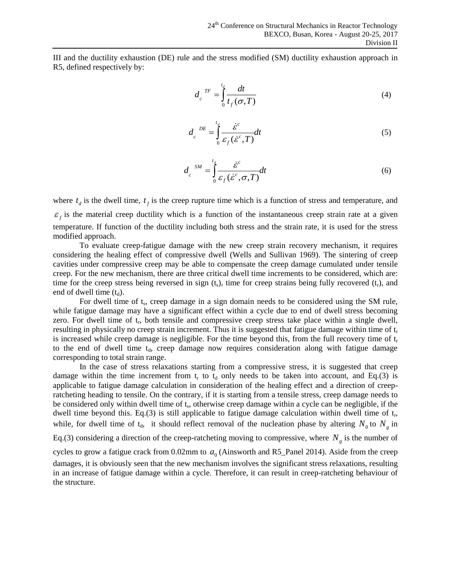III and the ductility exhaustion (DE) rule and the stress modified (SM) ductility exhaustion approach in R5, defined respectively by:

$$
d_c \stackrel{TF}{=} \int_0^{t_d} \frac{dt}{t_f(\sigma, T)}
$$
(4)

$$
d_c \stackrel{DE}{=} \int_0^{t_d} \frac{\dot{\mathcal{E}}^c}{\mathcal{E}_f(\dot{\mathcal{E}}^c, T)} dt
$$
 (5)

$$
d_c^{SM} = \int_0^{t_d} \frac{\dot{\varepsilon}^c}{\varepsilon_f(\dot{\varepsilon}^c, \sigma, T)} dt
$$
 (6)

where  $t_d$  is the dwell time,  $t_f$  is the creep rupture time which is a function of stress and temperature, and  $\varepsilon_f$  is the material creep ductility which is a function of the instantaneous creep strain rate at a given temperature. If function of the ductility including both stress and the strain rate, it is used for the stress modified approach.

To evaluate creep-fatigue damage with the new creep strain recovery mechanism, it requires considering the healing effect of compressive dwell [\(Wells and Sullivan 1969\)](#page-9-7). The sintering of creep cavities under compressive creep may be able to compensate the creep damage cumulated under tensile creep. For the new mechanism, there are three critical dwell time increments to be considered, which are: time for the creep stress being reversed in sign  $(t_s)$ , time for creep strains being fully recovered  $(t_r)$ , and end of dwell time  $(t_d)$ .

For dwell time of t<sub>s</sub>, creep damage in a sign domain needs to be considered using the SM rule, while fatigue damage may have a significant effect within a cycle due to end of dwell stress becoming zero. For dwell time of  $t_r$ , both tensile and compressive creep stress take place within a single dwell, resulting in physically no creep strain increment. Thus it is suggested that fatigue damage within time of  $t_r$ is increased while creep damage is negligible. For the time beyond this, from the full recovery time of  $t_r$ to the end of dwell time  $t_d$ , creep damage now requires consideration along with fatigue damage corresponding to total strain range.

In the case of stress relaxations starting from a compressive stress, it is suggested that creep damage within the time increment from  $t_r$  to  $t_d$  only needs to be taken into account, and Eq.(3) is applicable to fatigue damage calculation in consideration of the healing effect and a direction of creepratcheting heading to tensile. On the contrary, if it is starting from a tensile stress, creep damage needs to be considered only within dwell time of t<sub>s</sub>, otherwise creep damage within a cycle can be negligible, if the dwell time beyond this. Eq.(3) is still applicable to fatigue damage calculation within dwell time of  $t_r$ , while, for dwell time of  $t_d$ , it should reflect removal of the nucleation phase by altering  $N_0$  to  $N_g$  in Eq.(3) considering a direction of the creep-ratcheting moving to compressive, where  $N_g$  is the number of cycles to grow a fatigue crack from  $0.02$ mm to  $a<sub>0</sub>$  [\(Ainsworth and R5\\_Panel 2014\)](#page-9-8). Aside from the creep damages, it is obviously seen that the new mechanism involves the significant stress relaxations, resulting in an increase of fatigue damage within a cycle. Therefore, it can result in creep-ratcheting behaviour of the structure.